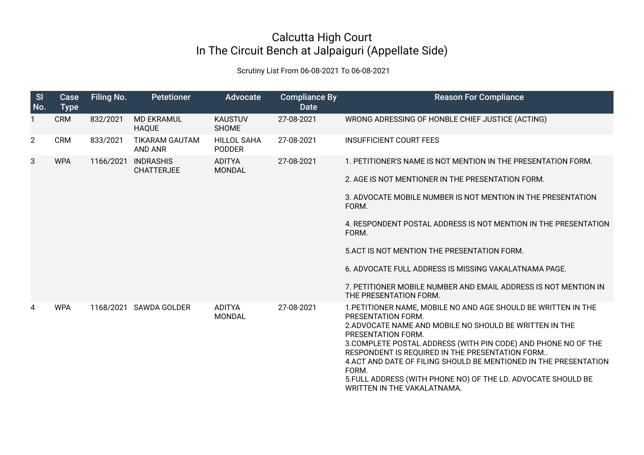## Calcutta High Court In The Circuit Bench at Jalpaiguri (Appellate Side)

Scrutiny List From 06-08-2021 To 06-08-2021

| SI<br>No.      | Case<br><b>Type</b> | Filing No. | <b>Petetioner</b>                       | <b>Advocate</b>                     | <b>Compliance By</b><br><b>Date</b> | <b>Reason For Compliance</b>                                                                                                                                                                                                                                                                                                                                                                                                                                             |
|----------------|---------------------|------------|-----------------------------------------|-------------------------------------|-------------------------------------|--------------------------------------------------------------------------------------------------------------------------------------------------------------------------------------------------------------------------------------------------------------------------------------------------------------------------------------------------------------------------------------------------------------------------------------------------------------------------|
| 1              | <b>CRM</b>          | 832/2021   | <b>MD EKRAMUL</b><br><b>HAQUE</b>       | <b>KAUSTUV</b><br><b>SHOME</b>      | 27-08-2021                          | WRONG ADRESSING OF HONBLE CHIEF JUSTICE (ACTING)                                                                                                                                                                                                                                                                                                                                                                                                                         |
| $\overline{2}$ | <b>CRM</b>          | 833/2021   | <b>TIKARAM GAUTAM</b><br><b>AND ANR</b> | <b>HILLOL SAHA</b><br><b>PODDER</b> | 27-08-2021                          | <b>INSUFFICIENT COURT FEES</b>                                                                                                                                                                                                                                                                                                                                                                                                                                           |
| 3              | <b>WPA</b>          | 1166/2021  | <b>INDRASHIS</b><br><b>CHATTERJEE</b>   | <b>ADITYA</b><br>MONDAL             | 27-08-2021                          | 1. PETITIONER'S NAME IS NOT MENTION IN THE PRESENTATION FORM.                                                                                                                                                                                                                                                                                                                                                                                                            |
|                |                     |            |                                         |                                     |                                     | 2. AGE IS NOT MENTIONER IN THE PRESENTATION FORM.                                                                                                                                                                                                                                                                                                                                                                                                                        |
|                |                     |            |                                         |                                     |                                     | 3. ADVOCATE MOBILE NUMBER IS NOT MENTION IN THE PRESENTATION<br>FORM.                                                                                                                                                                                                                                                                                                                                                                                                    |
|                |                     |            |                                         |                                     |                                     | 4. RESPONDENT POSTAL ADDRESS IS NOT MENTION IN THE PRESENTATION<br>FORM.                                                                                                                                                                                                                                                                                                                                                                                                 |
|                |                     |            |                                         |                                     |                                     | 5. ACT IS NOT MENTION THE PRESENTATION FORM.                                                                                                                                                                                                                                                                                                                                                                                                                             |
|                |                     |            |                                         |                                     |                                     | 6. ADVOCATE FULL ADDRESS IS MISSING VAKALATNAMA PAGE.                                                                                                                                                                                                                                                                                                                                                                                                                    |
|                |                     |            |                                         |                                     |                                     | 7. PETITIONER MOBILE NUMBER AND EMAIL ADDRESS IS NOT MENTION IN<br>THE PRESENTATION FORM.                                                                                                                                                                                                                                                                                                                                                                                |
| 4              | <b>WPA</b>          |            | 1168/2021 SAWDA GOLDER                  | <b>ADITYA</b><br><b>MONDAL</b>      | 27-08-2021                          | 1. PETITIONER NAME, MOBILE NO AND AGE SHOULD BE WRITTEN IN THE<br>PRESENTATION FORM.<br>2. ADVOCATE NAME AND MOBILE NO SHOULD BE WRITTEN IN THE<br>PRESENTATION FORM.<br>3. COMPLETE POSTAL ADDRESS (WITH PIN CODE) AND PHONE NO OF THE<br>RESPONDENT IS REQUIRED IN THE PRESENTATION FORM<br>4. ACT AND DATE OF FILING SHOULD BE MENTIONED IN THE PRESENTATION<br>FORM.<br>5. FULL ADDRESS (WITH PHONE NO) OF THE LD. ADVOCATE SHOULD BE<br>WRITTEN IN THE VAKALATNAMA. |